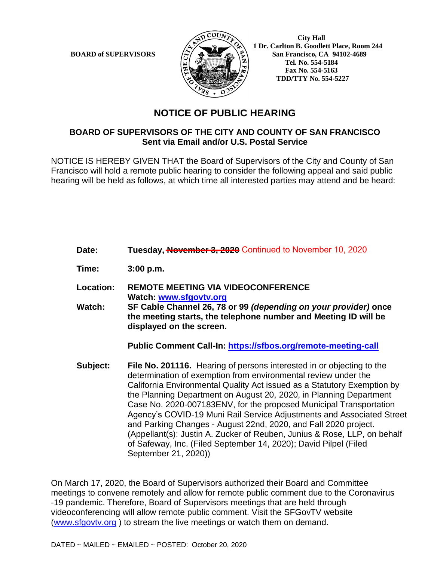

 **City Hall 1 Dr. Carlton B. Goodlett Place, Room 244 BOARD of SUPERVISORS**  $\left(\frac{S}{I}\right)$   $\oplus$   $\left(\frac{S}{I}\right)$  San Francisco, CA 94102-4689  **Tel. No. 554-5184 Fax No. 554-5163 TDD/TTY No. 554-5227**

## **NOTICE OF PUBLIC HEARING**

## **BOARD OF SUPERVISORS OF THE CITY AND COUNTY OF SAN FRANCISCO Sent via Email and/or U.S. Postal Service**

NOTICE IS HEREBY GIVEN THAT the Board of Supervisors of the City and County of San Francisco will hold a remote public hearing to consider the following appeal and said public hearing will be held as follows, at which time all interested parties may attend and be heard:

- Date: Tuesday, **November 3, 2020** Continued to November 10, 2020
- **Time: 3:00 p.m.**
- **Location: REMOTE MEETING VIA VIDEOCONFERENCE Watch: www.sfgovtv.org**
- **Watch: SF Cable Channel 26, 78 or 99** *(depending on your provider)* **once the meeting starts, the telephone number and Meeting ID will be displayed on the screen.**

**Public Comment Call-In: https://sfbos.org/remote-meeting-call**

**Subject: File No. 201116.** Hearing of persons interested in or objecting to the determination of exemption from environmental review under the California Environmental Quality Act issued as a Statutory Exemption by the Planning Department on August 20, 2020, in Planning Department Case No. 2020-007183ENV, for the proposed Municipal Transportation Agency's COVID-19 Muni Rail Service Adjustments and Associated Street and Parking Changes - August 22nd, 2020, and Fall 2020 project. (Appellant(s): Justin A. Zucker of Reuben, Junius & Rose, LLP, on behalf of Safeway, Inc. (Filed September 14, 2020); David Pilpel (Filed September 21, 2020))

On March 17, 2020, the Board of Supervisors authorized their Board and Committee meetings to convene remotely and allow for remote public comment due to the Coronavirus -19 pandemic. Therefore, Board of Supervisors meetings that are held through videoconferencing will allow remote public comment. Visit the SFGovTV website (www.sfgovtv.org ) to stream the live meetings or watch them on demand.